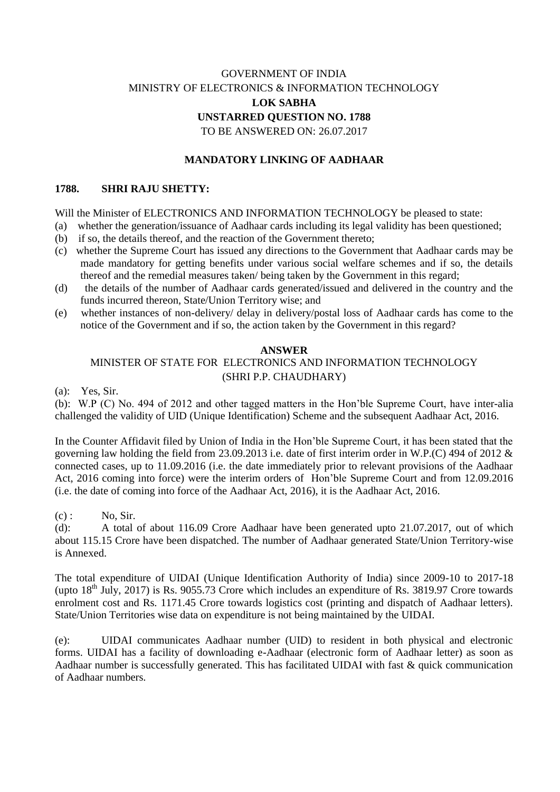# GOVERNMENT OF INDIA MINISTRY OF ELECTRONICS & INFORMATION TECHNOLOGY **LOK SABHA UNSTARRED QUESTION NO. 1788** TO BE ANSWERED ON: 26.07.2017

### **MANDATORY LINKING OF AADHAAR**

### **1788. SHRI RAJU SHETTY:**

#### Will the Minister of ELECTRONICS AND INFORMATION TECHNOLOGY be pleased to state:

- (a) whether the generation/issuance of Aadhaar cards including its legal validity has been questioned;
- (b) if so, the details thereof, and the reaction of the Government thereto;
- (c) whether the Supreme Court has issued any directions to the Government that Aadhaar cards may be made mandatory for getting benefits under various social welfare schemes and if so, the details thereof and the remedial measures taken/ being taken by the Government in this regard;
- (d) the details of the number of Aadhaar cards generated/issued and delivered in the country and the funds incurred thereon, State/Union Territory wise; and
- (e) whether instances of non-delivery/ delay in delivery/postal loss of Aadhaar cards has come to the notice of the Government and if so, the action taken by the Government in this regard?

#### **ANSWER**

## MINISTER OF STATE FOR ELECTRONICS AND INFORMATION TECHNOLOGY (SHRI P.P. CHAUDHARY)

(a):Yes, Sir.

(b):W.P (C) No. 494 of 2012 and other tagged matters in the Hon'ble Supreme Court, have inter-alia challenged the validity of UID (Unique Identification) Scheme and the subsequent Aadhaar Act, 2016.

In the Counter Affidavit filed by Union of India in the Hon'ble Supreme Court, it has been stated that the governing law holding the field from 23.09.2013 i.e. date of first interim order in W.P.(C) 494 of 2012 & connected cases, up to 11.09.2016 (i.e. the date immediately prior to relevant provisions of the Aadhaar Act, 2016 coming into force) were the interim orders of Hon'ble Supreme Court and from 12.09.2016 (i.e. the date of coming into force of the Aadhaar Act, 2016), it is the Aadhaar Act, 2016.

 $(c)$ : No, Sir.

(d): A total of about 116.09 Crore Aadhaar have been generated upto 21.07.2017, out of which about 115.15 Crore have been dispatched. The number of Aadhaar generated State/Union Territory-wise is Annexed.

The total expenditure of UIDAI (Unique Identification Authority of India) since 2009-10 to 2017-18 (upto  $18<sup>th</sup>$  July, 2017) is Rs. 9055.73 Crore which includes an expenditure of Rs. 3819.97 Crore towards enrolment cost and Rs. 1171.45 Crore towards logistics cost (printing and dispatch of Aadhaar letters). State/Union Territories wise data on expenditure is not being maintained by the UIDAI.

(e): UIDAI communicates Aadhaar number (UID) to resident in both physical and electronic forms. UIDAI has a facility of downloading e-Aadhaar (electronic form of Aadhaar letter) as soon as Aadhaar number is successfully generated. This has facilitated UIDAI with fast & quick communication of Aadhaar numbers.